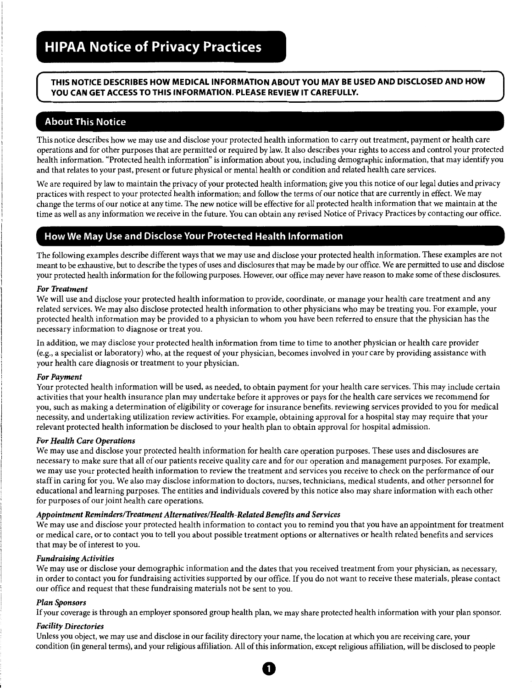## **THIS NOTICE DESCRIBES HOW MEDICAL INFORMATION ABOUT YOU MAY BE USED AND DISCLOSED AND HOW YOU CAN GET ACCESS TO THIS INFORMATION. PLEASE REVIEW IT CAREFULLY.**

# **About This Notice**

This notice describes how we may use and disclose your protected health information to carry out treatment, payment or health care operations and for other purposes that are permitted or required by law. It also describes your rights to access and control your protected health information. "Protected health information" is information about you, including demographic information, that may identify you and that relates to your past, present or future physical or mental health or condition and related health care services.

We are required by law to maintain the privacy of your protected health information; give you this notice of our legal duties and privacy practices with respect to your protected health information; and follow the terms of our notice that are currently in effect. We may change the terms of our notice at any time. The new notice will be effective for all protected health information that we maintain at the time as well as any information we receive in the future. You can obtain any revised Notice of Privacy Practices by contacting our office.

# **How We May Use and Disclose Your Protected Health Information**

The following examples describe different ways that we may use and disclose your protected health information. These examples are not meant to be exhaustive, but to describe the types of uses and disclosures that may be made by our office. We are permitted to use and disclose your protected health information for the following purposes. However, our office may never have reason to make some of these disclosures.

## *For Treatment*

We will use and disclose your protected health information to provide, coordinate, or manage your health care treatment and any related services. We may also disclose protected health information to other physicians who may be treating you. For example, your protected health information may be provided to a physician to whom you have been referred to ensure that the physician has the necessary information to diagnose or treat you.

In addition, we may disclose your protected health information from time to time to another physician or health care provider (e.g., a specialist or laboratory} who, at the request of your physician, becomes involved in your care by providing assistance with your health care diagnosis or treatment to your physician.

#### *For Payment*

Your protected health information will be used, as needed, to obtain payment for your health care services. This may include certain activities that your health insurance plan may undertake before it approves or pays for the health care services we recommend for you, such as making a determination of eligibility or coverage for insurance benefits, reviewing services provided to you for medical necessity, and undertaking utilization review activities. For example, obtaining approval for a hospital stay may require that your relevant protected health information be disclosed to your health plan to obtain approval for hospital admission.

## *For Health Care Operations*

We may use and disclose your protected health information for health care operation purposes. These uses and disclosures are necessary to make sure that all of our patients receive quality care and for our operation and management purposes. For example, we may use your protected health information to review the treatment and services you receive to check on the performance of our staff in caring for you. We also may disclose information to doctors, nurses, technicians, medical students, and other personnel for educational and learning purposes. The entities and individuals covered by this notice also may share information with each other for purposes of our joint health care operations.

## *Appointment Reminders/Treatment Alternatives/Health-Related Benefits and Services*

We may use and disclose your protected health information to contact you to remind you that you have an appointment for treatment or medical care, or to contact you to tell you about possible treatment options or alternatives or health related benefits and services that may be of interest to you.

## *Fundraising Activities*

We may use or disclose your demographic information and the dates that you received treatment from your physician, as necessary, in order to contact you for fundraising activities supported by our office. If you do not want to receive these materials, please contact our office and request that these fundraising materials not be sent to you.

## *Plan Sponsors*

If your coverage is through an employer sponsored group health plan, we may share protected health information with your plan sponsor.

## *Facility Directories*

Unless you object, we may use and disclose in our facility directory your name, the location at which you are receiving care, your condition (in general terms), and your religious affiliation. All of this information, except religious affiliation, will be disclosed to people

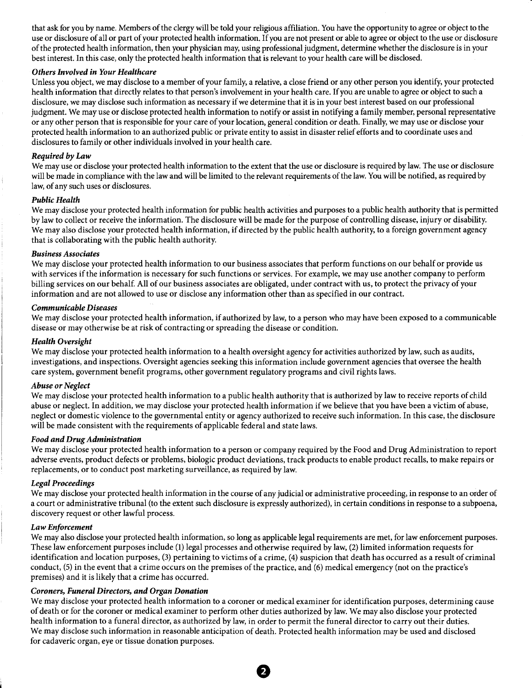that ask for you by name. Members of the clergy will be told your religious affiliation. You have the opportunity to agree or object to the use or disclosure of all or part of your protected health information. If you are not present or able to agree or object to the use or disclosure of the protected health information, then your physician may, using professional judgment, determine whether the disclosure is in your best interest. In this case, only the protected health information that is relevant to your health care will be disclosed.

### *Others Involved in Your Healthcare*

Unless you object, we may disclose to a member of your family, a relative, a close friend or any other person you identify, your protected health information that directly relates to that person's involvement in your health care. If you are unable to agree or object to such a disclosure, we may disclose such information as necessary if we determine that it is in your best interest based on our professional judgment. We may use or disclose protected health information to notify or assist in notifying a family member, personal representative or any other person that is responsible for your care of your location, general condition or death. Finally, we may use or disclose your protected health information to an authorized public or private entity to assist in disaster relief efforts and to coordinate uses and disclosures to family or other individuals involved in your health care.

### *Required by Law*

We may use or disclose your protected health information to the extent that the use or disclosure is required by law. The use or disclosure will be made in compliance with the law and will be limited to the relevant requirements of the law. You will be notified, as required by law, of any such uses or disclosures.

#### *Public Health*

We may disclose your protected health information for public health activities and purposes to a public health authority that is permitted by law to collect or receive the information. The disclosure will be made for the purpose of controlling disease, injury or disability. We may also disclose your protected health information, if directed by the public health authority, to a foreign government agency that is collaborating with the public health authority.

#### *Business Associates*

We may disclose your protected health information to our business associates that perform functions on our behalf or provide us with services if the information is necessary for such functions or services. For example, we may use another company to perform billing services on our behalf. All of our business associates are obligated, under contract with us, to protect the privacy of your information and are not allowed to use or disclose any information other than as specified in our contract.

### *Communicable Diseases*

We may disclose your protected health information, if authorized by law, to a person who may have been exposed to a communicable disease or may otherwise be at risk of contracting or spreading the disease or condition.

### *Health Oversight*

We may disclose your protected health information to a health oversight agency for activities authorized by law, such as audits, investigations, and inspections. Oversight agencies seeking this information include government agencies that oversee the health care system, government benefit programs, other government regulatory programs and civil rights laws.

#### *Abuse or Neglect*

We may disclose your protected health information to a public health authority that is authorized by law to receive reports of child abuse or neglect. In addition, we may disclose your protected health information if we believe that you have been a victim of abuse, neglect or domestic violence to the governmental entity or agency authorized to receive such information. In this case, the disclosure will be made consistent with the requirements of applicable federal and state laws.

#### *Food and Drug Administration*

We may disclose your protected health information to a person or company required by the Food and Drug Administration to report adverse events, product defects or problems, biologic product deviations, track products to enable product recalls, to make repairs or replacements, or to conduct post marketing surveillance, as required by law.

## *Legal Proceedings*

We may disclose your protected health information in the course of any judicial or administrative proceeding, in response to an order of a court or administrative tribunal (to the extent such disclosure is expressly authorized), in certain conditions in response to a subpoena, discovery request or other lawful process.

## *Law Enforcement*

We may also disclose your protected health information, so long as applicable legal requirements are met, for law enforcement purposes. These law enforcement purposes include (1) legal processes and otherwise required by law, (2) limited information requests for identification and location purposes, (3) pertaining to victims of a crime, (4) suspicion that death has occurred as a result of criminal conduct, (5) in the event that a crime occurs on the premises of the practice, and (6) medical emergency (not on the practice's premises) and it is likely that a crime has occurred.

## *Coroners, Funeral Directors, and Organ Donation*

We may disclose your protected health information to a coroner or medical examiner for identification purposes, determining cause of death or for the coroner or medical examiner to perform other duties authorized by law. We may also disclose your protected health information to a funeral director, as authorized by law, in order to permit the funeral director to carry out their duties. We may disclose such information in reasonable anticipation of death. Protected health information may be used and disclosed for cadaveric organ, eye or tissue donation purposes.

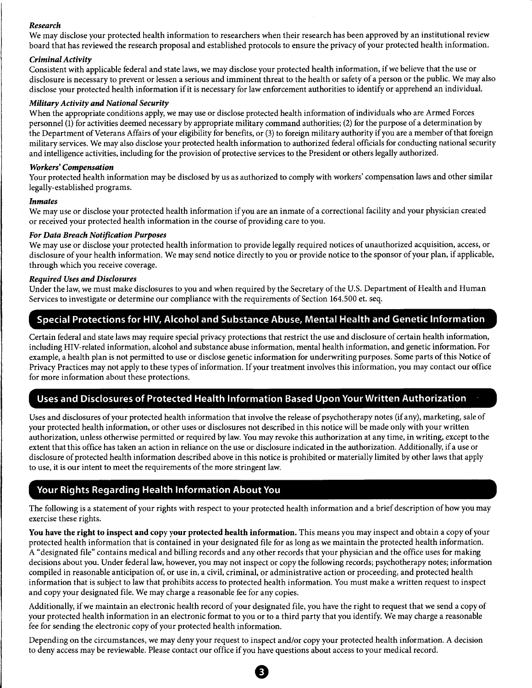### *Research*

We may disclose your protected health information to researchers when their research has been approved by an institutional review board that has reviewed the research proposal and established protocols to ensure the privacy of your protected health information.

## *Criminal Activity*

Consistent with applicable federal and state laws, we may disclose your protected health information, if we believe that the use or disclosure is necessary to prevent or lessen a serious and imminent threat to the health or safety of a person or the public. We may also disclose your protected health information if it is necessary for law enforcement authorities to identify or apprehend an individual.

### *Military Activity and National Security*

When the appropriate conditions apply, we may use or disclose protected health information of individuals who are Armed Forces personnel (1) for activities deemed necessary by appropriate military command authorities; (2) for the purpose of a determination by the Department of Veterans Affairs of your eligibility for benefits, or (3) to foreign military authority if you are a member of that foreign military services. We may also disclose your protected health information to authorized federal officials for conducting national security and intelligence activities, including for the provision of protective services to the President or others legally authorized.

## *Workers' Compensation*

Your protected health information may be disclosed by us as authorized to comply with workers' compensation laws and other similar legally-established programs.

#### *Inmates*

We may use or disclose your protected health information if you are an inmate of a correctional facility and your physician created or received your protected health information in the course of providing care to you.

### *For Data Breach Notification Purposes*

We may use or disclose your protected health information to provide legally required notices of unauthorized acquisition, access, or disclosure of your health information. We may send notice directly to you or provide notice to the sponsor of your plan, if applicable, through which you receive coverage.

### *Required Uses and Disclosures*

Under the law, we must make disclosures to you and when required by the Secretary of the U.S. Department of Health and Human Services to investigate or determine our compliance with the requirements of Section 164.500 et. seq.

## Special Protections for HIV, Alcohol and Substance Abuse, Mental Health and Genetic Information

Certain federal and state laws may require special privacy protections that restrict the use and disclosure of certain health information, including HIV-related information, alcohol and substance abuse information, mental health information, and genetic information. For example, a health plan is not permitted to use or disclose genetic information for underwriting purposes. Some parts of this Notice of Privacy Practices may not apply to these types of information. If your treatment involves this information, you may contact our office for more information about these protections.

## Uses and Disclosures of Protected Health Information Based Upon Your Written Authorization

Uses and disclosures of your protected health information that involve the release of psychotherapy notes (if any), marketing, sale of your protected health information, or other uses or disclosures not described in this notice will be made only with your written authorization, unless otherwise permitted or required by law. You may revoke this authorization at any time, in writing, except to the extent that this office has taken an action in reliance on the use or disclosure indicated in the authorization. Additionally, if a use or disclosure of protected health information described above in this notice is prohibited or materially limited by other laws that apply to use, it is our intent to meet the requirements of the more stringent law.

# Your Rights Regarding Health Information About You

The following is a statement of your rights with respect to your protected health information and a brief description of how you may exercise these rights.

You have the right to inspect and copy your protected health information. This means you may inspect and obtain a copy of your protected health information that is contained in your designated file for as long as we maintain the protected health information. A "designated file" contains medical and billing records and any other records that your physician and the office uses for making decisions about you. Under federal law, however, you may not inspect or copy the following records; psychotherapy notes; information compiled in reasonable anticipation of, or use in, a civil, criminal, or administrative action or proceeding, and protected health information that is subject to law that prohibits access to protected health information. You must make a written request to inspect and copy your designated file. We may charge a reasonable fee for any copies.

Additionally, if we maintain an electronic health record of your designated file, you have the right to request that we send a copy of your protected health information in an electronic format to you or to a third party that you identify. We may charge a reasonable fee for sending the electronic copy of your protected health information.

Depending on the circumstances, we may deny your request to inspect and/or copy your protected health information. A decision to deny access may be reviewable. Please contact our office if you have questions about access to your medical record.

e